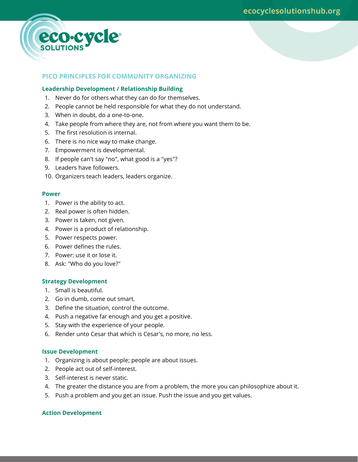

# **PICO PRINCIPLES FOR COMMUNITY ORGANIZING**

## **Leadership Development / Relationship Building**

- 1. Never do for others what they can do for themselves.
- 2. People cannot be held responsible for what they do not understand.
- 3. When in doubt, do a one-to-one.
- 4. Take people from where they are, not from where you want them to be.
- 5. The first resolution is internal.
- 6. There is no nice way to make change.
- 7. Empowerment is developmental.
- 8. If people can't say "no", what good is a "yes"?
- 9. Leaders have followers.
- 10. Organizers teach leaders, leaders organize.

#### **Power**

- 1. Power is the ability to act.
- 2. Real power is often hidden.
- 3. Power is taken, not given.
- 4. Power is a product of relationship.
- 5. Power respects power.
- 6. Power defines the rules.
- 7. Power: use it or lose it.
- 8. Ask: "Who do you love?"

### **Strategy Development**

- 1. Small is beautiful.
- 2. Go in dumb, come out smart.
- 3. Define the situation, control the outcome.
- 4. Push a negative far enough and you get a positive.
- 5. Stay with the experience of your people.
- 6. Render unto Cesar that which is Cesar's, no more, no less.

### **Issue Development**

- 1. Organizing is about people; people are about issues.
- 2. People act out of self-interest.
- 3. Self-interest is never static.
- 4. The greater the distance you are from a problem, the more you can philosophize about it.
- 5. Push a problem and you get an issue. Push the issue and you get values.

## **Action Development**